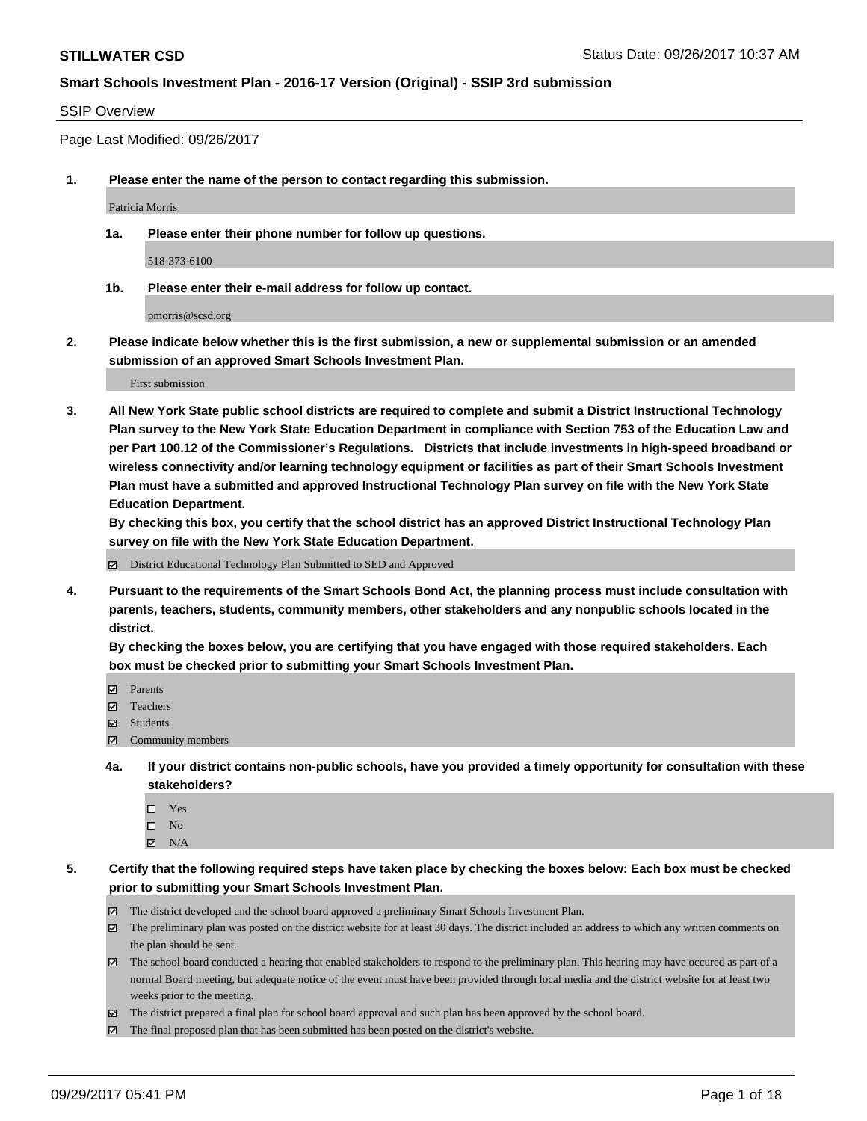#### SSIP Overview

Page Last Modified: 09/26/2017

**1. Please enter the name of the person to contact regarding this submission.**

Patricia Morris

**1a. Please enter their phone number for follow up questions.**

518-373-6100

**1b. Please enter their e-mail address for follow up contact.**

pmorris@scsd.org

**2. Please indicate below whether this is the first submission, a new or supplemental submission or an amended submission of an approved Smart Schools Investment Plan.**

First submission

**3. All New York State public school districts are required to complete and submit a District Instructional Technology Plan survey to the New York State Education Department in compliance with Section 753 of the Education Law and per Part 100.12 of the Commissioner's Regulations. Districts that include investments in high-speed broadband or wireless connectivity and/or learning technology equipment or facilities as part of their Smart Schools Investment Plan must have a submitted and approved Instructional Technology Plan survey on file with the New York State Education Department.** 

**By checking this box, you certify that the school district has an approved District Instructional Technology Plan survey on file with the New York State Education Department.**

District Educational Technology Plan Submitted to SED and Approved

**4. Pursuant to the requirements of the Smart Schools Bond Act, the planning process must include consultation with parents, teachers, students, community members, other stakeholders and any nonpublic schools located in the district.** 

**By checking the boxes below, you are certifying that you have engaged with those required stakeholders. Each box must be checked prior to submitting your Smart Schools Investment Plan.**

- **Parents**
- Teachers
- Students
- $\Xi$  Community members
- **4a. If your district contains non-public schools, have you provided a timely opportunity for consultation with these stakeholders?**
	- □ Yes
	- $\square$  No
	- $\boxtimes$  N/A

**5. Certify that the following required steps have taken place by checking the boxes below: Each box must be checked prior to submitting your Smart Schools Investment Plan.**

- The district developed and the school board approved a preliminary Smart Schools Investment Plan.
- The preliminary plan was posted on the district website for at least 30 days. The district included an address to which any written comments on the plan should be sent.
- The school board conducted a hearing that enabled stakeholders to respond to the preliminary plan. This hearing may have occured as part of a normal Board meeting, but adequate notice of the event must have been provided through local media and the district website for at least two weeks prior to the meeting.
- The district prepared a final plan for school board approval and such plan has been approved by the school board.
- $\boxtimes$  The final proposed plan that has been submitted has been posted on the district's website.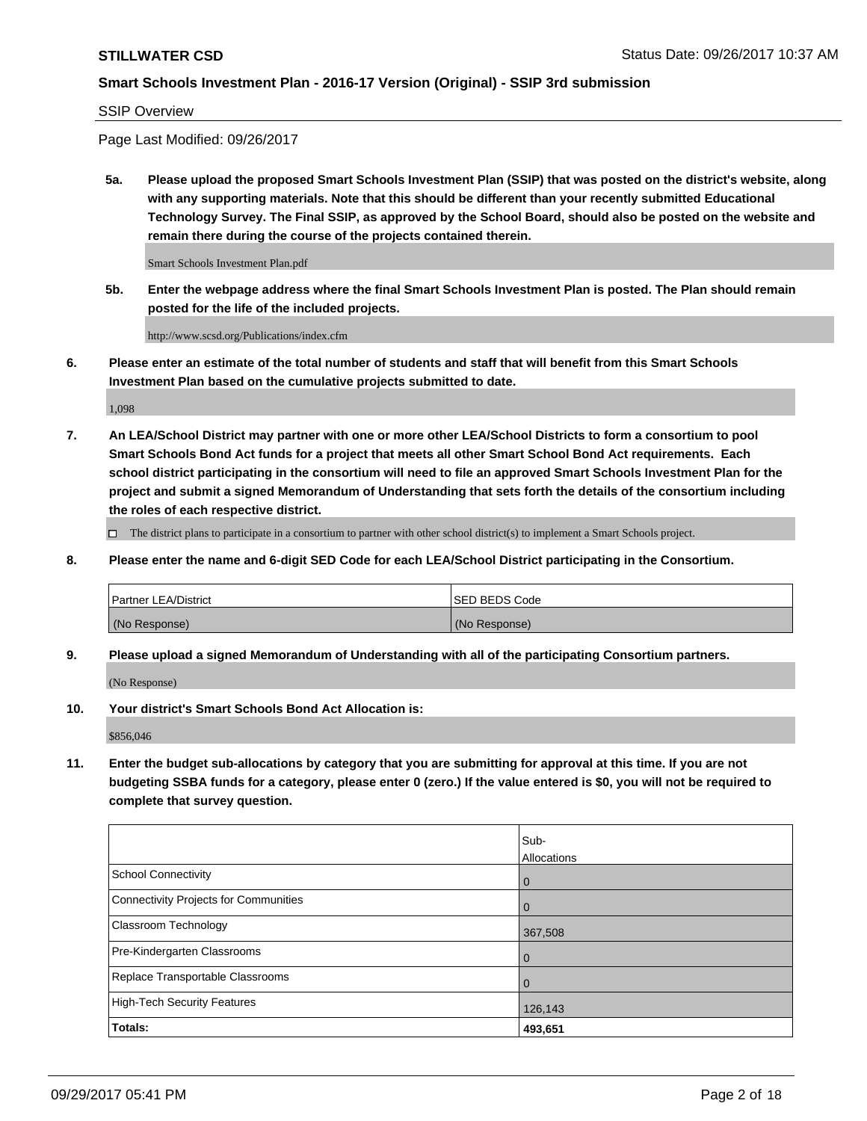SSIP Overview

Page Last Modified: 09/26/2017

**5a. Please upload the proposed Smart Schools Investment Plan (SSIP) that was posted on the district's website, along with any supporting materials. Note that this should be different than your recently submitted Educational Technology Survey. The Final SSIP, as approved by the School Board, should also be posted on the website and remain there during the course of the projects contained therein.**

Smart Schools Investment Plan.pdf

**5b. Enter the webpage address where the final Smart Schools Investment Plan is posted. The Plan should remain posted for the life of the included projects.**

http://www.scsd.org/Publications/index.cfm

**6. Please enter an estimate of the total number of students and staff that will benefit from this Smart Schools Investment Plan based on the cumulative projects submitted to date.**

1,098

**7. An LEA/School District may partner with one or more other LEA/School Districts to form a consortium to pool Smart Schools Bond Act funds for a project that meets all other Smart School Bond Act requirements. Each school district participating in the consortium will need to file an approved Smart Schools Investment Plan for the project and submit a signed Memorandum of Understanding that sets forth the details of the consortium including the roles of each respective district.**

 $\Box$  The district plans to participate in a consortium to partner with other school district(s) to implement a Smart Schools project.

**8. Please enter the name and 6-digit SED Code for each LEA/School District participating in the Consortium.**

| <b>Partner LEA/District</b> | <b>ISED BEDS Code</b> |
|-----------------------------|-----------------------|
| (No Response)               | (No Response)         |

**9. Please upload a signed Memorandum of Understanding with all of the participating Consortium partners.**

(No Response)

**10. Your district's Smart Schools Bond Act Allocation is:**

\$856,046

**11. Enter the budget sub-allocations by category that you are submitting for approval at this time. If you are not budgeting SSBA funds for a category, please enter 0 (zero.) If the value entered is \$0, you will not be required to complete that survey question.**

|                                       | Sub-        |
|---------------------------------------|-------------|
|                                       | Allocations |
| <b>School Connectivity</b>            | 0           |
| Connectivity Projects for Communities | 0           |
| <b>Classroom Technology</b>           | 367,508     |
| Pre-Kindergarten Classrooms           | 0           |
| Replace Transportable Classrooms      | 0           |
| <b>High-Tech Security Features</b>    | 126,143     |
| Totals:                               | 493,651     |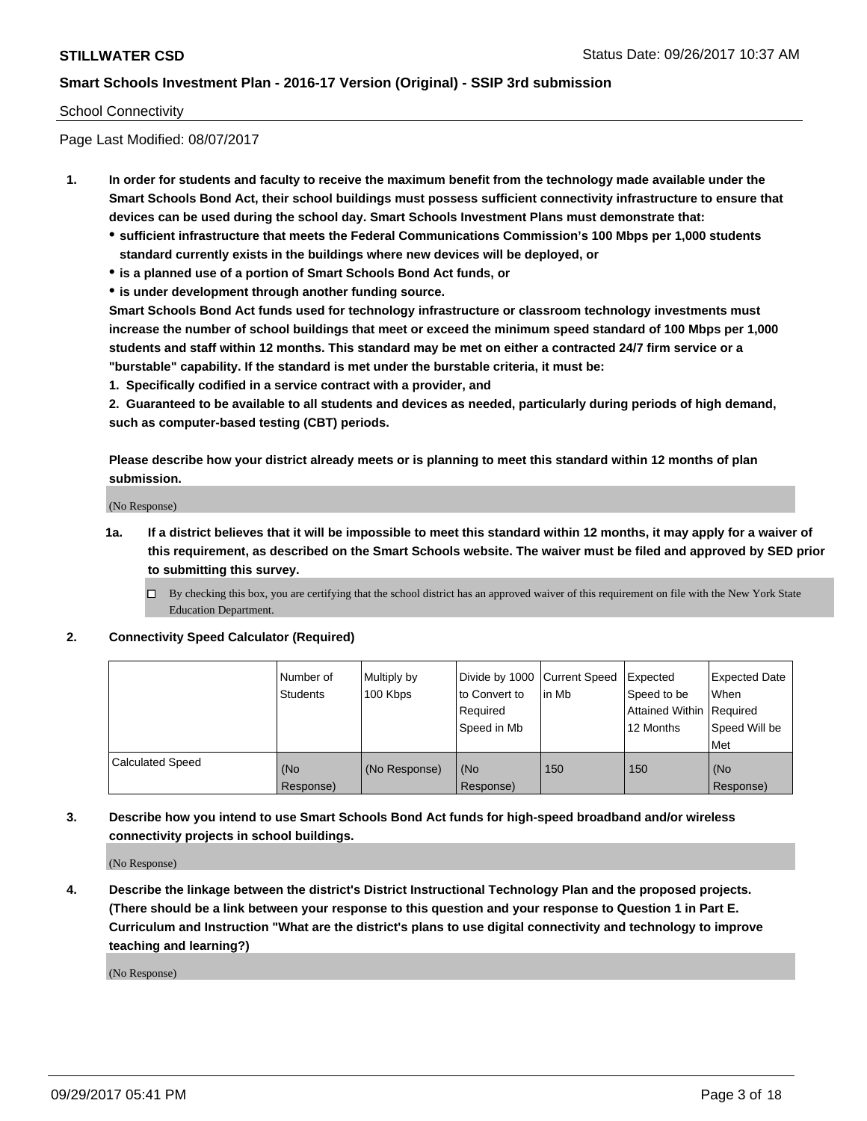### School Connectivity

Page Last Modified: 08/07/2017

- **1. In order for students and faculty to receive the maximum benefit from the technology made available under the Smart Schools Bond Act, their school buildings must possess sufficient connectivity infrastructure to ensure that devices can be used during the school day. Smart Schools Investment Plans must demonstrate that:**
	- **sufficient infrastructure that meets the Federal Communications Commission's 100 Mbps per 1,000 students standard currently exists in the buildings where new devices will be deployed, or**
	- **is a planned use of a portion of Smart Schools Bond Act funds, or**
	- **is under development through another funding source.**

**Smart Schools Bond Act funds used for technology infrastructure or classroom technology investments must increase the number of school buildings that meet or exceed the minimum speed standard of 100 Mbps per 1,000 students and staff within 12 months. This standard may be met on either a contracted 24/7 firm service or a "burstable" capability. If the standard is met under the burstable criteria, it must be:**

**1. Specifically codified in a service contract with a provider, and**

**2. Guaranteed to be available to all students and devices as needed, particularly during periods of high demand, such as computer-based testing (CBT) periods.**

**Please describe how your district already meets or is planning to meet this standard within 12 months of plan submission.**

(No Response)

**1a. If a district believes that it will be impossible to meet this standard within 12 months, it may apply for a waiver of this requirement, as described on the Smart Schools website. The waiver must be filed and approved by SED prior to submitting this survey.**

**2. Connectivity Speed Calculator (Required)**

|                         | Number of<br><b>Students</b> | Multiply by<br>100 Kbps | Divide by 1000 Current Speed<br>to Convert to<br>Required<br>Speed in Mb | in Mb | Expected<br>Speed to be<br>Attained Within Required<br>12 Months | <b>Expected Date</b><br><b>When</b><br>Speed Will be<br>Met |
|-------------------------|------------------------------|-------------------------|--------------------------------------------------------------------------|-------|------------------------------------------------------------------|-------------------------------------------------------------|
| <b>Calculated Speed</b> | (No<br>Response)             | (No Response)           | (No<br>Response)                                                         | 150   | 150                                                              | l (No<br>Response)                                          |

**3. Describe how you intend to use Smart Schools Bond Act funds for high-speed broadband and/or wireless connectivity projects in school buildings.**

(No Response)

**4. Describe the linkage between the district's District Instructional Technology Plan and the proposed projects. (There should be a link between your response to this question and your response to Question 1 in Part E. Curriculum and Instruction "What are the district's plans to use digital connectivity and technology to improve teaching and learning?)**

(No Response)

 $\Box$  By checking this box, you are certifying that the school district has an approved waiver of this requirement on file with the New York State Education Department.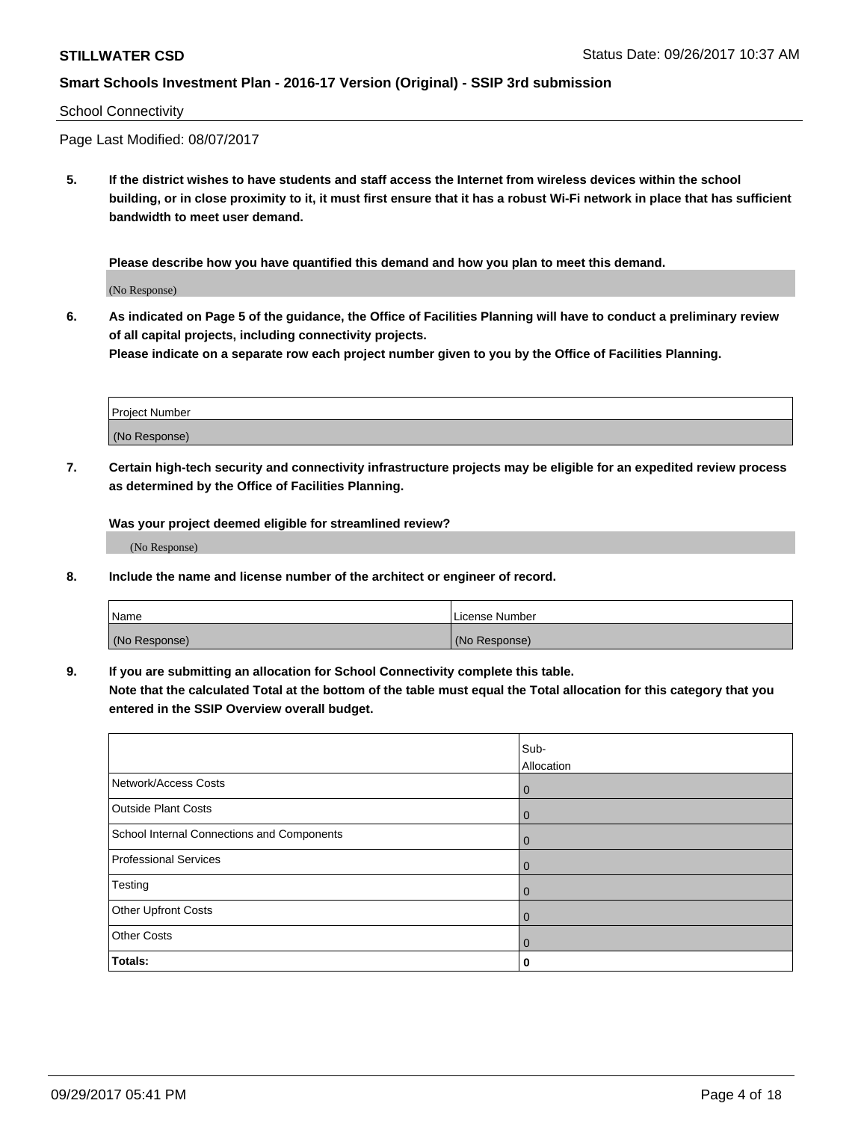#### School Connectivity

Page Last Modified: 08/07/2017

**5. If the district wishes to have students and staff access the Internet from wireless devices within the school building, or in close proximity to it, it must first ensure that it has a robust Wi-Fi network in place that has sufficient bandwidth to meet user demand.**

**Please describe how you have quantified this demand and how you plan to meet this demand.**

(No Response)

**6. As indicated on Page 5 of the guidance, the Office of Facilities Planning will have to conduct a preliminary review of all capital projects, including connectivity projects.**

**Please indicate on a separate row each project number given to you by the Office of Facilities Planning.**

| Project Number |  |
|----------------|--|
|                |  |
| (No Response)  |  |

**7. Certain high-tech security and connectivity infrastructure projects may be eligible for an expedited review process as determined by the Office of Facilities Planning.**

**Was your project deemed eligible for streamlined review?**

(No Response)

**8. Include the name and license number of the architect or engineer of record.**

| Name          | License Number |
|---------------|----------------|
| (No Response) | (No Response)  |

**9. If you are submitting an allocation for School Connectivity complete this table.**

**Note that the calculated Total at the bottom of the table must equal the Total allocation for this category that you entered in the SSIP Overview overall budget.** 

|                                            | Sub-<br>Allocation |
|--------------------------------------------|--------------------|
| Network/Access Costs                       | $\mathbf 0$        |
| <b>Outside Plant Costs</b>                 | $\mathbf 0$        |
| School Internal Connections and Components | $\mathbf 0$        |
| <b>Professional Services</b>               | $\mathbf 0$        |
| Testing                                    | $\mathbf 0$        |
| Other Upfront Costs                        | $\mathbf 0$        |
| <b>Other Costs</b>                         | $\mathbf 0$        |
| Totals:                                    | 0                  |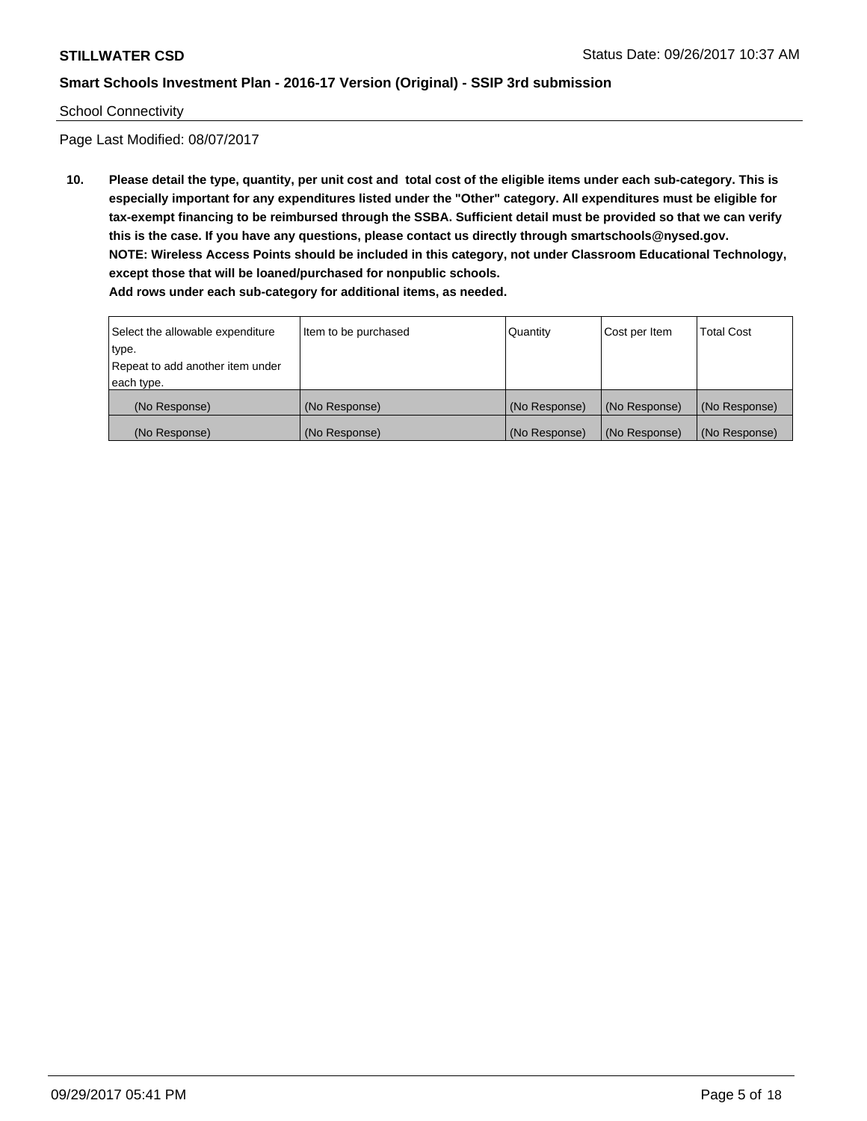#### School Connectivity

Page Last Modified: 08/07/2017

**10. Please detail the type, quantity, per unit cost and total cost of the eligible items under each sub-category. This is especially important for any expenditures listed under the "Other" category. All expenditures must be eligible for tax-exempt financing to be reimbursed through the SSBA. Sufficient detail must be provided so that we can verify this is the case. If you have any questions, please contact us directly through smartschools@nysed.gov. NOTE: Wireless Access Points should be included in this category, not under Classroom Educational Technology, except those that will be loaned/purchased for nonpublic schools.**

| Select the allowable expenditure | Item to be purchased | Quantity      | Cost per Item | <b>Total Cost</b> |
|----------------------------------|----------------------|---------------|---------------|-------------------|
| type.                            |                      |               |               |                   |
| Repeat to add another item under |                      |               |               |                   |
| each type.                       |                      |               |               |                   |
| (No Response)                    | (No Response)        | (No Response) | (No Response) | (No Response)     |
| (No Response)                    | (No Response)        | (No Response) | (No Response) | (No Response)     |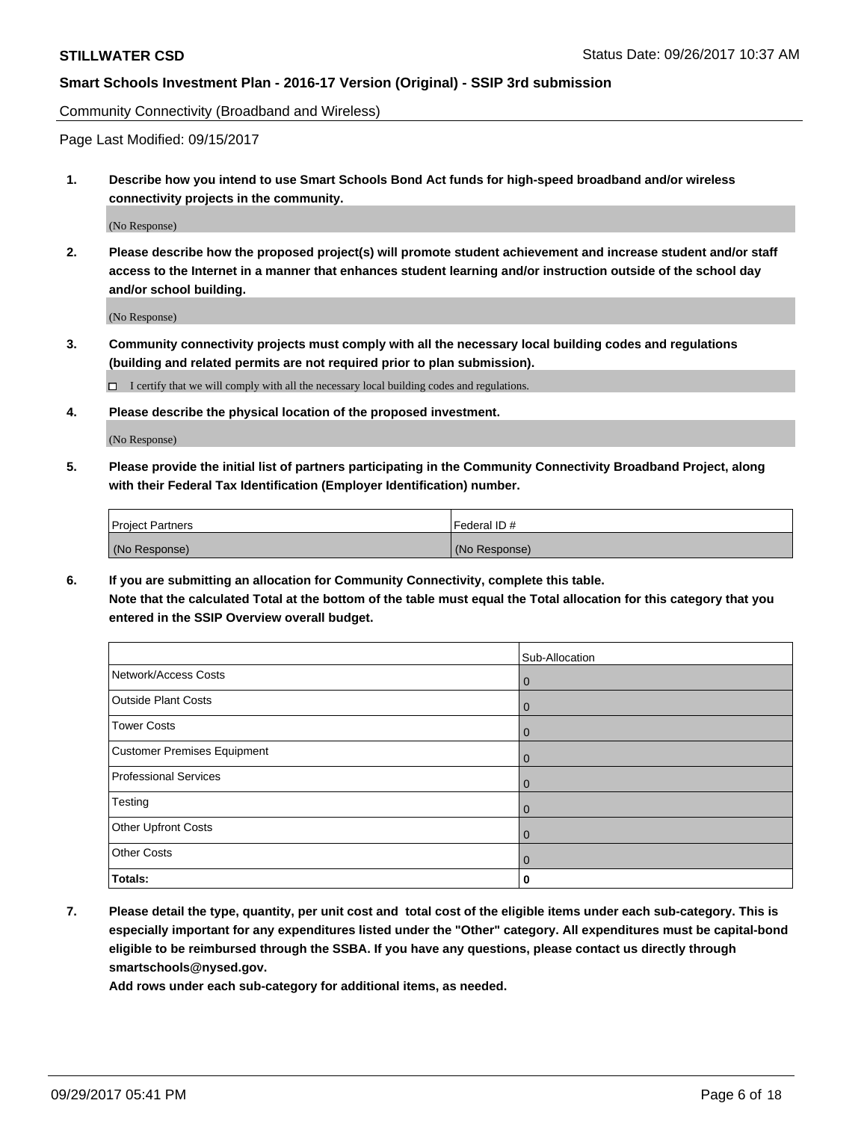Community Connectivity (Broadband and Wireless)

Page Last Modified: 09/15/2017

**1. Describe how you intend to use Smart Schools Bond Act funds for high-speed broadband and/or wireless connectivity projects in the community.**

(No Response)

**2. Please describe how the proposed project(s) will promote student achievement and increase student and/or staff access to the Internet in a manner that enhances student learning and/or instruction outside of the school day and/or school building.**

(No Response)

- **3. Community connectivity projects must comply with all the necessary local building codes and regulations (building and related permits are not required prior to plan submission).**
	- $\Box$  I certify that we will comply with all the necessary local building codes and regulations.
- **4. Please describe the physical location of the proposed investment.**

(No Response)

**5. Please provide the initial list of partners participating in the Community Connectivity Broadband Project, along with their Federal Tax Identification (Employer Identification) number.**

| <b>Project Partners</b> | l Federal ID # |
|-------------------------|----------------|
| (No Response)           | (No Response)  |

**6. If you are submitting an allocation for Community Connectivity, complete this table. Note that the calculated Total at the bottom of the table must equal the Total allocation for this category that you entered in the SSIP Overview overall budget.**

|                                    | Sub-Allocation |
|------------------------------------|----------------|
| Network/Access Costs               | $\mathbf{0}$   |
| <b>Outside Plant Costs</b>         | $\mathbf{0}$   |
| <b>Tower Costs</b>                 | $\mathbf 0$    |
| <b>Customer Premises Equipment</b> | $\mathbf{0}$   |
| <b>Professional Services</b>       | $\mathbf{0}$   |
| Testing                            | $\overline{0}$ |
| Other Upfront Costs                | $\mathbf{0}$   |
| <b>Other Costs</b>                 | $\mathbf{0}$   |
| Totals:                            | 0              |

**7. Please detail the type, quantity, per unit cost and total cost of the eligible items under each sub-category. This is especially important for any expenditures listed under the "Other" category. All expenditures must be capital-bond eligible to be reimbursed through the SSBA. If you have any questions, please contact us directly through smartschools@nysed.gov.**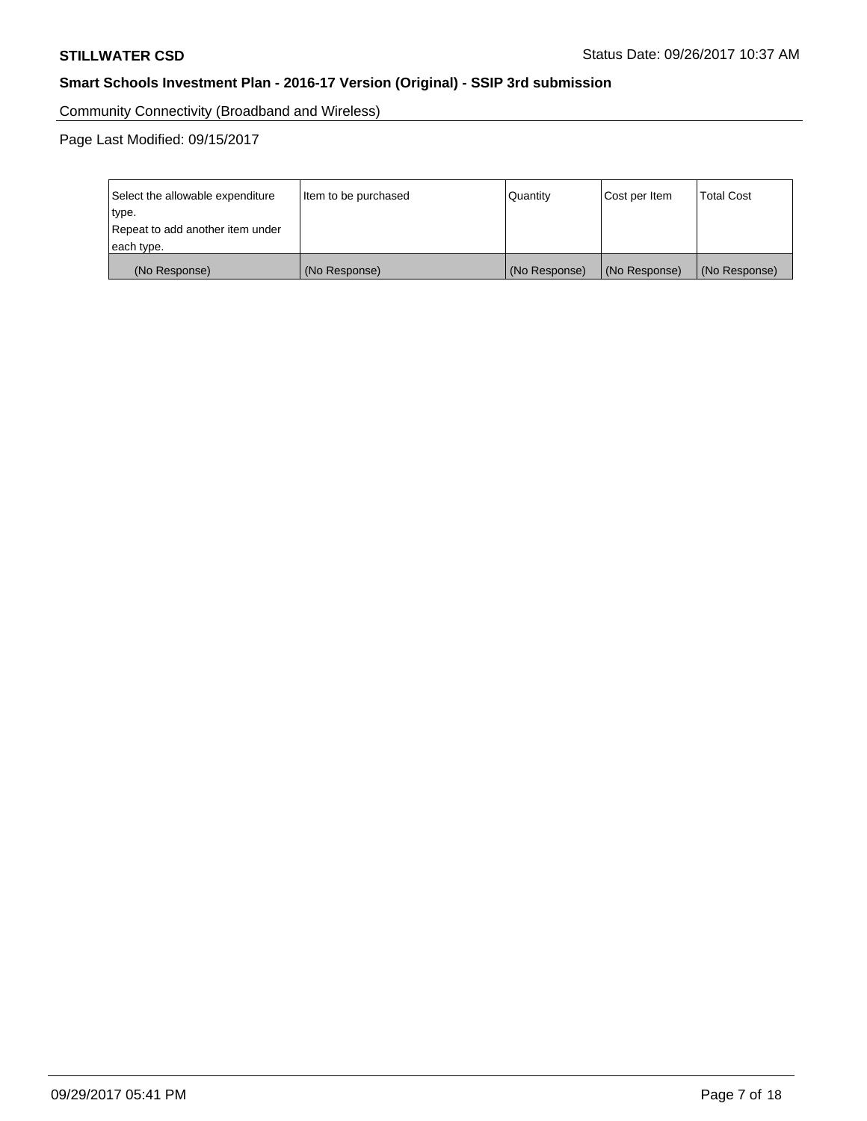Community Connectivity (Broadband and Wireless)

Page Last Modified: 09/15/2017

| Select the allowable expenditure<br>type.<br>Repeat to add another item under | Item to be purchased | Quantity      | Cost per Item | <b>Total Cost</b> |
|-------------------------------------------------------------------------------|----------------------|---------------|---------------|-------------------|
| each type.                                                                    |                      |               |               |                   |
| (No Response)                                                                 | (No Response)        | (No Response) | (No Response) | (No Response)     |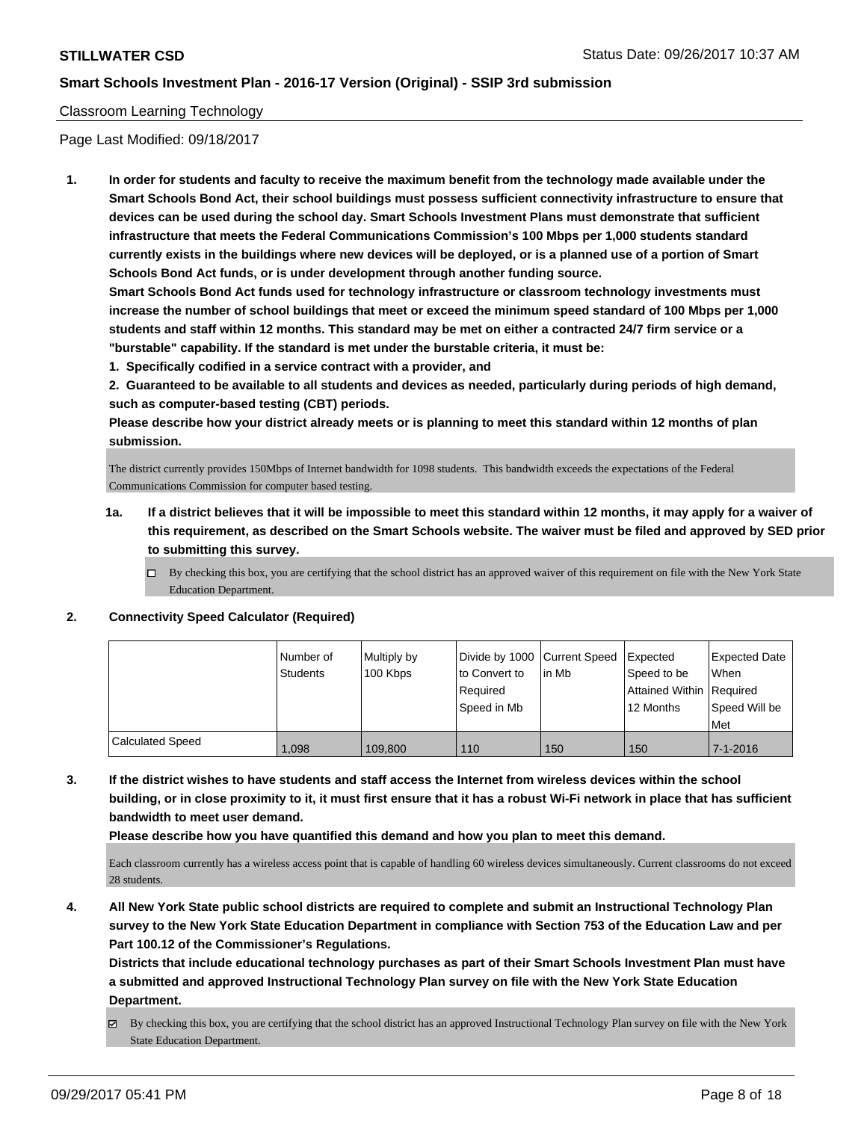### Classroom Learning Technology

Page Last Modified: 09/18/2017

**1. In order for students and faculty to receive the maximum benefit from the technology made available under the Smart Schools Bond Act, their school buildings must possess sufficient connectivity infrastructure to ensure that devices can be used during the school day. Smart Schools Investment Plans must demonstrate that sufficient infrastructure that meets the Federal Communications Commission's 100 Mbps per 1,000 students standard currently exists in the buildings where new devices will be deployed, or is a planned use of a portion of Smart Schools Bond Act funds, or is under development through another funding source.**

**Smart Schools Bond Act funds used for technology infrastructure or classroom technology investments must increase the number of school buildings that meet or exceed the minimum speed standard of 100 Mbps per 1,000 students and staff within 12 months. This standard may be met on either a contracted 24/7 firm service or a "burstable" capability. If the standard is met under the burstable criteria, it must be:**

**1. Specifically codified in a service contract with a provider, and**

**2. Guaranteed to be available to all students and devices as needed, particularly during periods of high demand, such as computer-based testing (CBT) periods.**

**Please describe how your district already meets or is planning to meet this standard within 12 months of plan submission.**

The district currently provides 150Mbps of Internet bandwidth for 1098 students. This bandwidth exceeds the expectations of the Federal Communications Commission for computer based testing.

- **1a. If a district believes that it will be impossible to meet this standard within 12 months, it may apply for a waiver of this requirement, as described on the Smart Schools website. The waiver must be filed and approved by SED prior to submitting this survey.**
	- $\Box$  By checking this box, you are certifying that the school district has an approved waiver of this requirement on file with the New York State Education Department.

#### **2. Connectivity Speed Calculator (Required)**

|                         | l Number of<br><b>Students</b> | Multiply by<br>100 Kbps | Divide by 1000 Current Speed<br>to Convert to<br>Required<br>Speed in Mb | lin Mb | Expected<br>Speed to be<br>Attained Within Required<br>12 Months | Expected Date<br><b>When</b><br>Speed Will be<br>Met |
|-------------------------|--------------------------------|-------------------------|--------------------------------------------------------------------------|--------|------------------------------------------------------------------|------------------------------------------------------|
| <b>Calculated Speed</b> | 1,098                          | 109.800                 | 110                                                                      | 150    | 150                                                              | 7-1-2016                                             |

**3. If the district wishes to have students and staff access the Internet from wireless devices within the school building, or in close proximity to it, it must first ensure that it has a robust Wi-Fi network in place that has sufficient bandwidth to meet user demand.**

**Please describe how you have quantified this demand and how you plan to meet this demand.**

Each classroom currently has a wireless access point that is capable of handling 60 wireless devices simultaneously. Current classrooms do not exceed 28 students.

**4. All New York State public school districts are required to complete and submit an Instructional Technology Plan survey to the New York State Education Department in compliance with Section 753 of the Education Law and per Part 100.12 of the Commissioner's Regulations.**

**Districts that include educational technology purchases as part of their Smart Schools Investment Plan must have a submitted and approved Instructional Technology Plan survey on file with the New York State Education Department.**

 $\boxtimes$  By checking this box, you are certifying that the school district has an approved Instructional Technology Plan survey on file with the New York State Education Department.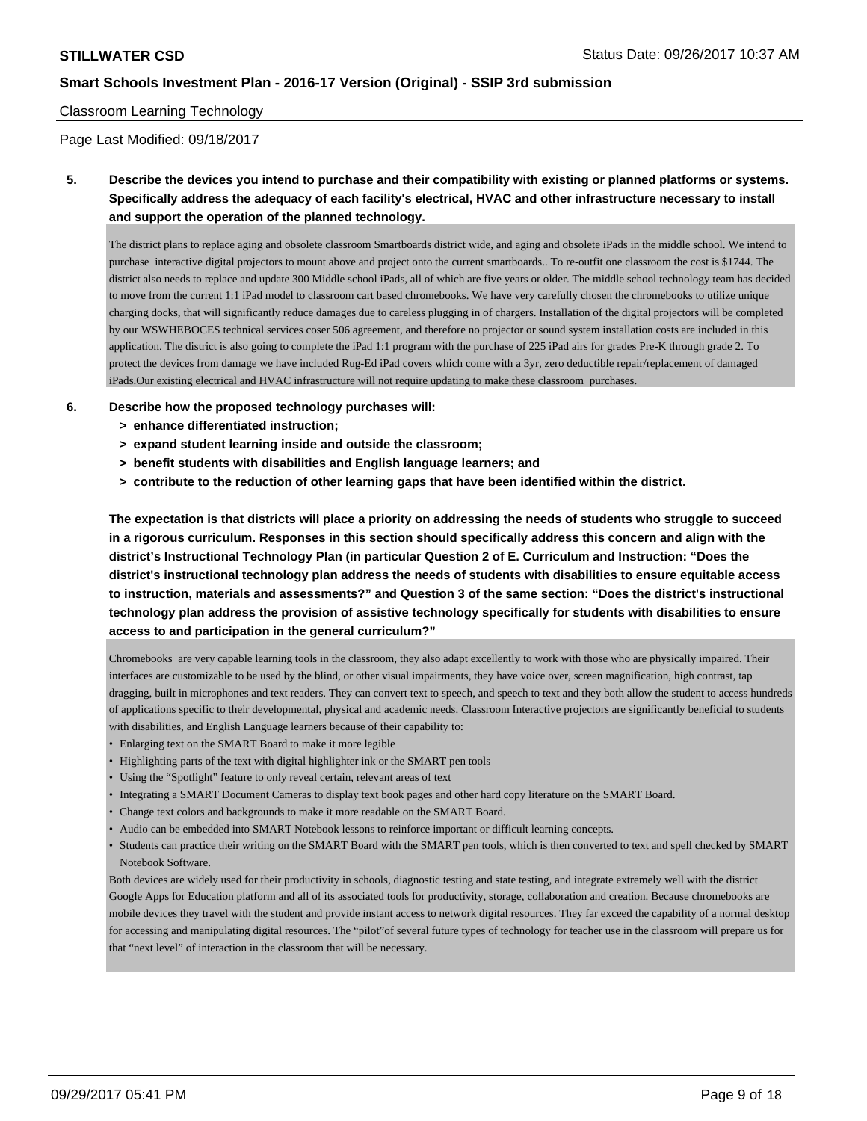### Classroom Learning Technology

Page Last Modified: 09/18/2017

**5. Describe the devices you intend to purchase and their compatibility with existing or planned platforms or systems. Specifically address the adequacy of each facility's electrical, HVAC and other infrastructure necessary to install and support the operation of the planned technology.**

The district plans to replace aging and obsolete classroom Smartboards district wide, and aging and obsolete iPads in the middle school. We intend to purchase interactive digital projectors to mount above and project onto the current smartboards.. To re-outfit one classroom the cost is \$1744. The district also needs to replace and update 300 Middle school iPads, all of which are five years or older. The middle school technology team has decided to move from the current 1:1 iPad model to classroom cart based chromebooks. We have very carefully chosen the chromebooks to utilize unique charging docks, that will significantly reduce damages due to careless plugging in of chargers. Installation of the digital projectors will be completed by our WSWHEBOCES technical services coser 506 agreement, and therefore no projector or sound system installation costs are included in this application. The district is also going to complete the iPad 1:1 program with the purchase of 225 iPad airs for grades Pre-K through grade 2. To protect the devices from damage we have included Rug-Ed iPad covers which come with a 3yr, zero deductible repair/replacement of damaged iPads.Our existing electrical and HVAC infrastructure will not require updating to make these classroom purchases.

- **6. Describe how the proposed technology purchases will:**
	- **> enhance differentiated instruction;**
	- **> expand student learning inside and outside the classroom;**
	- **> benefit students with disabilities and English language learners; and**
	- **> contribute to the reduction of other learning gaps that have been identified within the district.**

**The expectation is that districts will place a priority on addressing the needs of students who struggle to succeed in a rigorous curriculum. Responses in this section should specifically address this concern and align with the district's Instructional Technology Plan (in particular Question 2 of E. Curriculum and Instruction: "Does the district's instructional technology plan address the needs of students with disabilities to ensure equitable access to instruction, materials and assessments?" and Question 3 of the same section: "Does the district's instructional technology plan address the provision of assistive technology specifically for students with disabilities to ensure access to and participation in the general curriculum?"**

Chromebooks are very capable learning tools in the classroom, they also adapt excellently to work with those who are physically impaired. Their interfaces are customizable to be used by the blind, or other visual impairments, they have voice over, screen magnification, high contrast, tap dragging, built in microphones and text readers. They can convert text to speech, and speech to text and they both allow the student to access hundreds of applications specific to their developmental, physical and academic needs. Classroom Interactive projectors are significantly beneficial to students with disabilities, and English Language learners because of their capability to:

- Enlarging text on the SMART Board to make it more legible
- Highlighting parts of the text with digital highlighter ink or the SMART pen tools
- Using the "Spotlight" feature to only reveal certain, relevant areas of text
- Integrating a SMART Document Cameras to display text book pages and other hard copy literature on the SMART Board.
- Change text colors and backgrounds to make it more readable on the SMART Board.
- Audio can be embedded into SMART Notebook lessons to reinforce important or difficult learning concepts.
- Students can practice their writing on the SMART Board with the SMART pen tools, which is then converted to text and spell checked by SMART Notebook Software.

Both devices are widely used for their productivity in schools, diagnostic testing and state testing, and integrate extremely well with the district Google Apps for Education platform and all of its associated tools for productivity, storage, collaboration and creation. Because chromebooks are mobile devices they travel with the student and provide instant access to network digital resources. They far exceed the capability of a normal desktop for accessing and manipulating digital resources. The "pilot"of several future types of technology for teacher use in the classroom will prepare us for that "next level" of interaction in the classroom that will be necessary.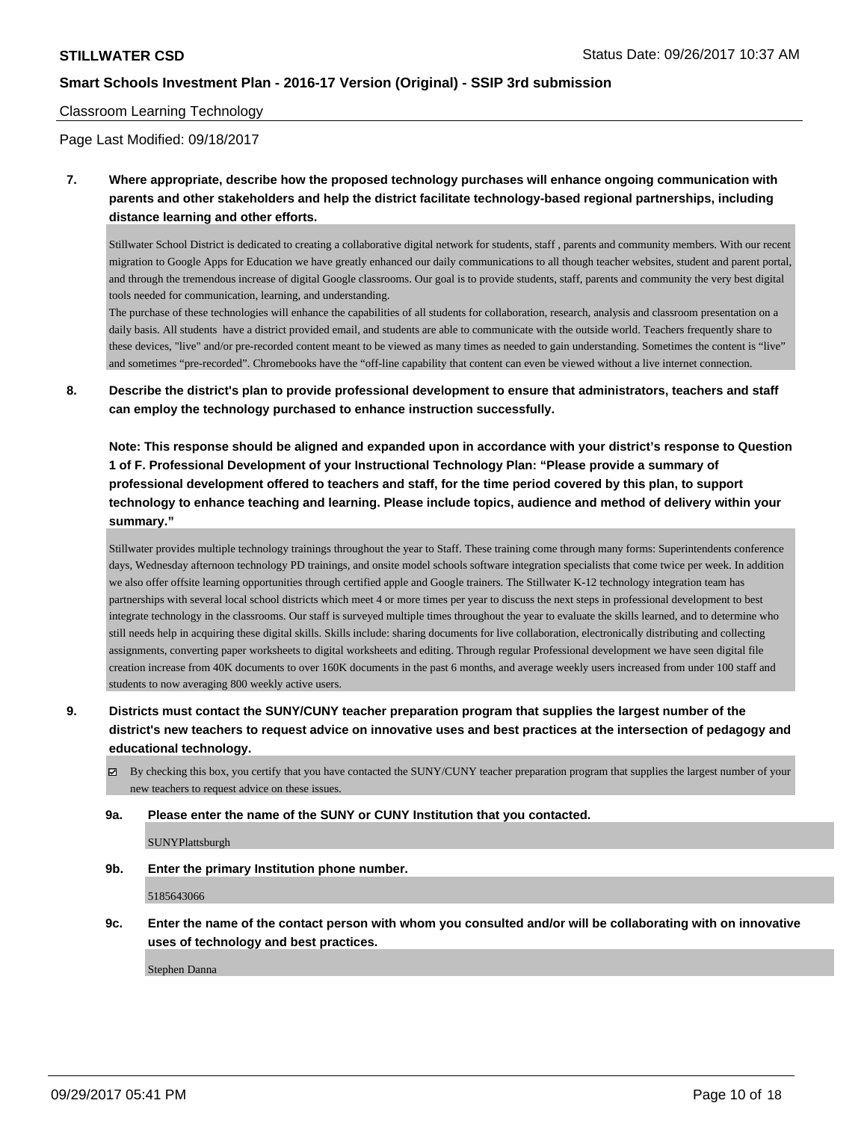#### Classroom Learning Technology

Page Last Modified: 09/18/2017

**7. Where appropriate, describe how the proposed technology purchases will enhance ongoing communication with parents and other stakeholders and help the district facilitate technology-based regional partnerships, including distance learning and other efforts.**

Stillwater School District is dedicated to creating a collaborative digital network for students, staff , parents and community members. With our recent migration to Google Apps for Education we have greatly enhanced our daily communications to all though teacher websites, student and parent portal, and through the tremendous increase of digital Google classrooms. Our goal is to provide students, staff, parents and community the very best digital tools needed for communication, learning, and understanding.

The purchase of these technologies will enhance the capabilities of all students for collaboration, research, analysis and classroom presentation on a daily basis. All students have a district provided email, and students are able to communicate with the outside world. Teachers frequently share to these devices, "live" and/or pre-recorded content meant to be viewed as many times as needed to gain understanding. Sometimes the content is "live" and sometimes "pre-recorded". Chromebooks have the "off-line capability that content can even be viewed without a live internet connection.

**8. Describe the district's plan to provide professional development to ensure that administrators, teachers and staff can employ the technology purchased to enhance instruction successfully.**

**Note: This response should be aligned and expanded upon in accordance with your district's response to Question 1 of F. Professional Development of your Instructional Technology Plan: "Please provide a summary of professional development offered to teachers and staff, for the time period covered by this plan, to support technology to enhance teaching and learning. Please include topics, audience and method of delivery within your summary."**

Stillwater provides multiple technology trainings throughout the year to Staff. These training come through many forms: Superintendents conference days, Wednesday afternoon technology PD trainings, and onsite model schools software integration specialists that come twice per week. In addition we also offer offsite learning opportunities through certified apple and Google trainers. The Stillwater K-12 technology integration team has partnerships with several local school districts which meet 4 or more times per year to discuss the next steps in professional development to best integrate technology in the classrooms. Our staff is surveyed multiple times throughout the year to evaluate the skills learned, and to determine who still needs help in acquiring these digital skills. Skills include: sharing documents for live collaboration, electronically distributing and collecting assignments, converting paper worksheets to digital worksheets and editing. Through regular Professional development we have seen digital file creation increase from 40K documents to over 160K documents in the past 6 months, and average weekly users increased from under 100 staff and students to now averaging 800 weekly active users.

- **9. Districts must contact the SUNY/CUNY teacher preparation program that supplies the largest number of the district's new teachers to request advice on innovative uses and best practices at the intersection of pedagogy and educational technology.**
	- $\boxtimes$  By checking this box, you certify that you have contacted the SUNY/CUNY teacher preparation program that supplies the largest number of your new teachers to request advice on these issues.
	- **9a. Please enter the name of the SUNY or CUNY Institution that you contacted.**

**SUNYPlattsburgh** 

**9b. Enter the primary Institution phone number.**

5185643066

**9c. Enter the name of the contact person with whom you consulted and/or will be collaborating with on innovative uses of technology and best practices.**

Stephen Danna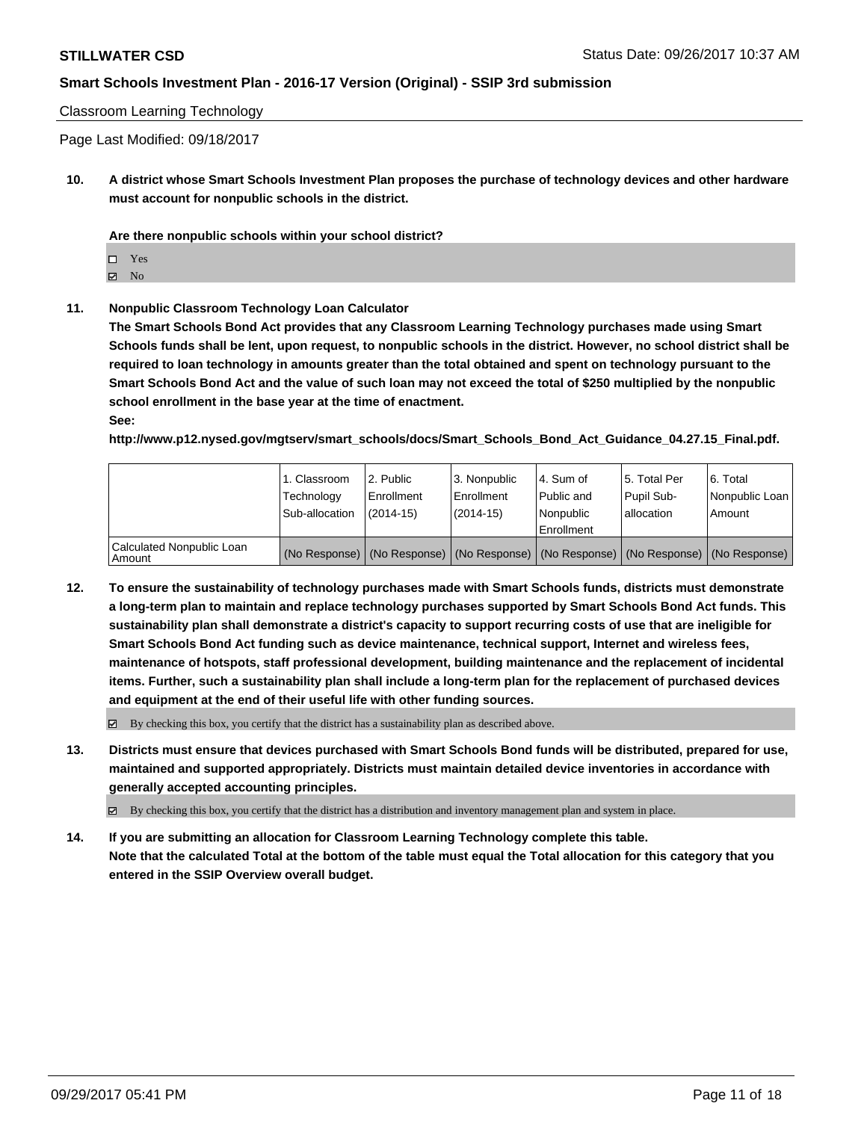#### Classroom Learning Technology

Page Last Modified: 09/18/2017

**10. A district whose Smart Schools Investment Plan proposes the purchase of technology devices and other hardware must account for nonpublic schools in the district.**

**Are there nonpublic schools within your school district?**

Yes

 $\boxtimes$  No

### **11. Nonpublic Classroom Technology Loan Calculator**

**The Smart Schools Bond Act provides that any Classroom Learning Technology purchases made using Smart Schools funds shall be lent, upon request, to nonpublic schools in the district. However, no school district shall be required to loan technology in amounts greater than the total obtained and spent on technology pursuant to the Smart Schools Bond Act and the value of such loan may not exceed the total of \$250 multiplied by the nonpublic school enrollment in the base year at the time of enactment. See:**

**http://www.p12.nysed.gov/mgtserv/smart\_schools/docs/Smart\_Schools\_Bond\_Act\_Guidance\_04.27.15\_Final.pdf.**

|                                       | 1. Classroom<br>Technology<br>Sub-allocation | 2. Public<br>Enrollment<br>(2014-15) | l 3. Nonpublic<br>l Enrollment<br>$(2014 - 15)$ | I4. Sum of<br>Public and<br>l Nonpublic<br>Enrollment                                         | 15. Total Per<br>Pupil Sub-<br>lallocation | l 6. Total<br>Nonpublic Loan<br>Amount |
|---------------------------------------|----------------------------------------------|--------------------------------------|-------------------------------------------------|-----------------------------------------------------------------------------------------------|--------------------------------------------|----------------------------------------|
| Calculated Nonpublic Loan<br>l Amount |                                              |                                      |                                                 | (No Response)   (No Response)   (No Response)   (No Response)   (No Response)   (No Response) |                                            |                                        |

**12. To ensure the sustainability of technology purchases made with Smart Schools funds, districts must demonstrate a long-term plan to maintain and replace technology purchases supported by Smart Schools Bond Act funds. This sustainability plan shall demonstrate a district's capacity to support recurring costs of use that are ineligible for Smart Schools Bond Act funding such as device maintenance, technical support, Internet and wireless fees, maintenance of hotspots, staff professional development, building maintenance and the replacement of incidental items. Further, such a sustainability plan shall include a long-term plan for the replacement of purchased devices and equipment at the end of their useful life with other funding sources.**

 $\boxtimes$  By checking this box, you certify that the district has a sustainability plan as described above.

**13. Districts must ensure that devices purchased with Smart Schools Bond funds will be distributed, prepared for use, maintained and supported appropriately. Districts must maintain detailed device inventories in accordance with generally accepted accounting principles.**

By checking this box, you certify that the district has a distribution and inventory management plan and system in place.

**14. If you are submitting an allocation for Classroom Learning Technology complete this table. Note that the calculated Total at the bottom of the table must equal the Total allocation for this category that you entered in the SSIP Overview overall budget.**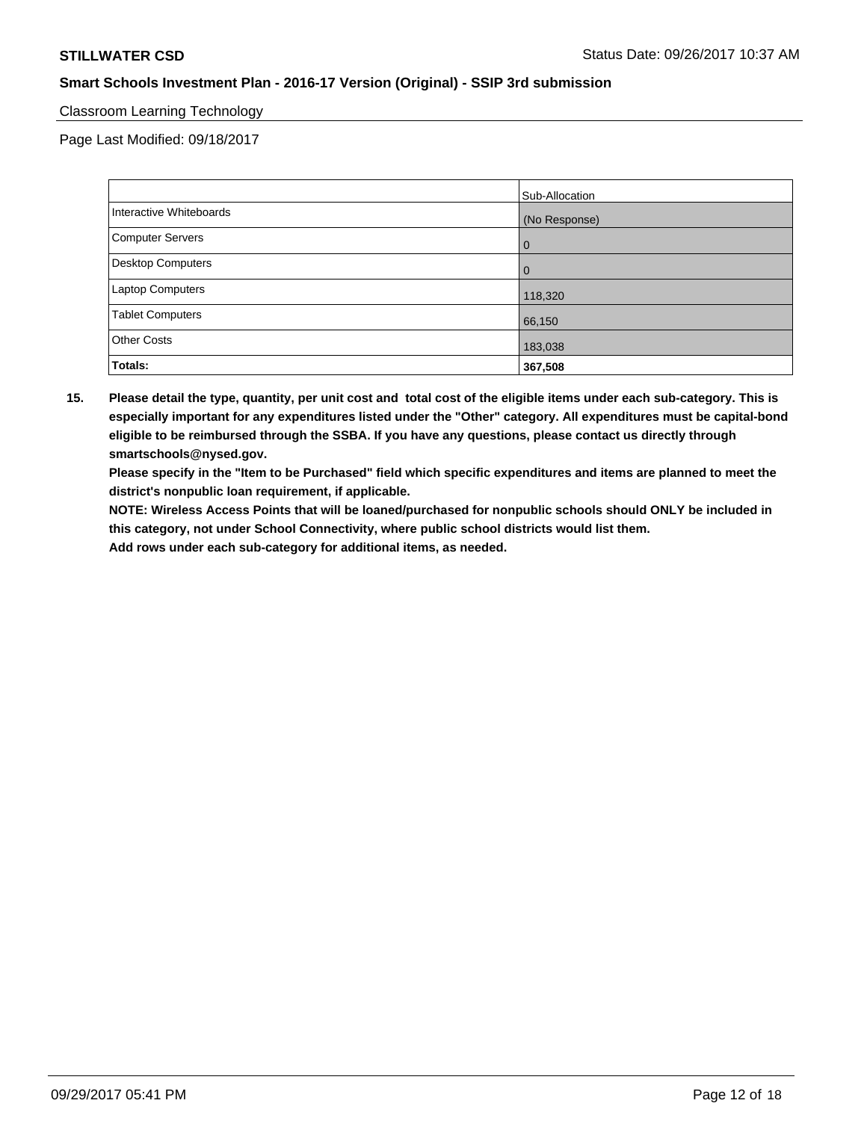### Classroom Learning Technology

Page Last Modified: 09/18/2017

|                         | Sub-Allocation |
|-------------------------|----------------|
| Interactive Whiteboards | (No Response)  |
| Computer Servers        | $\Omega$       |
| Desktop Computers       | 0              |
| Laptop Computers        | 118,320        |
| <b>Tablet Computers</b> | 66,150         |
| <b>Other Costs</b>      | 183,038        |
| Totals:                 | 367,508        |

**15. Please detail the type, quantity, per unit cost and total cost of the eligible items under each sub-category. This is especially important for any expenditures listed under the "Other" category. All expenditures must be capital-bond eligible to be reimbursed through the SSBA. If you have any questions, please contact us directly through smartschools@nysed.gov.**

**Please specify in the "Item to be Purchased" field which specific expenditures and items are planned to meet the district's nonpublic loan requirement, if applicable.**

**NOTE: Wireless Access Points that will be loaned/purchased for nonpublic schools should ONLY be included in this category, not under School Connectivity, where public school districts would list them.**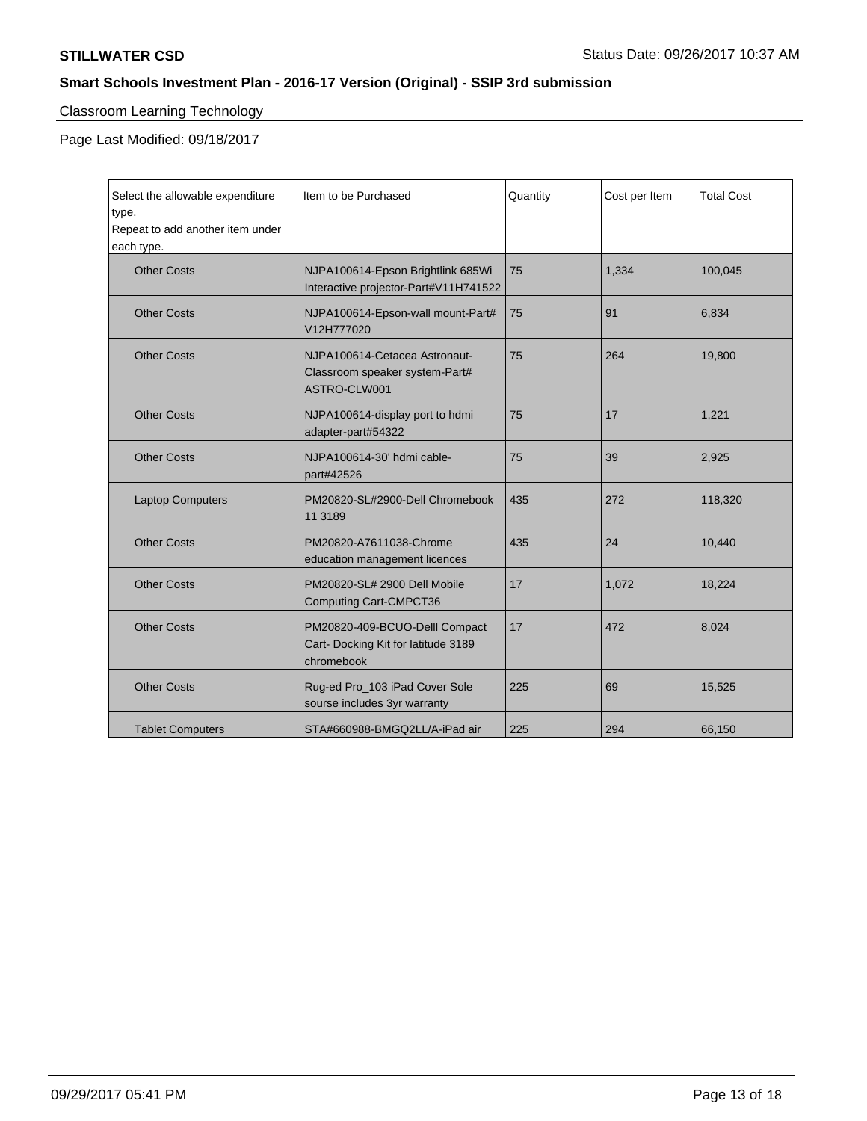# Classroom Learning Technology

Page Last Modified: 09/18/2017

| Select the allowable expenditure<br>type.<br>Repeat to add another item under<br>each type. | Item to be Purchased                                                                | Quantity | Cost per Item | <b>Total Cost</b> |
|---------------------------------------------------------------------------------------------|-------------------------------------------------------------------------------------|----------|---------------|-------------------|
| <b>Other Costs</b>                                                                          | NJPA100614-Epson Brightlink 685Wi<br>Interactive projector-Part#V11H741522          | 75       | 1,334         | 100,045           |
| <b>Other Costs</b>                                                                          | NJPA100614-Epson-wall mount-Part#<br>V12H777020                                     | 75       | 91            | 6,834             |
| <b>Other Costs</b>                                                                          | NJPA100614-Cetacea Astronaut-<br>Classroom speaker system-Part#<br>ASTRO-CLW001     | 75       | 264           | 19,800            |
| <b>Other Costs</b>                                                                          | NJPA100614-display port to hdmi<br>adapter-part#54322                               | 75       | 17            | 1,221             |
| <b>Other Costs</b>                                                                          | NJPA100614-30' hdmi cable-<br>part#42526                                            | 75       | 39            | 2,925             |
| <b>Laptop Computers</b>                                                                     | PM20820-SL#2900-Dell Chromebook<br>11 3189                                          | 435      | 272           | 118,320           |
| <b>Other Costs</b>                                                                          | PM20820-A7611038-Chrome<br>education management licences                            | 435      | 24            | 10,440            |
| <b>Other Costs</b>                                                                          | PM20820-SL# 2900 Dell Mobile<br>Computing Cart-CMPCT36                              | 17       | 1,072         | 18,224            |
| <b>Other Costs</b>                                                                          | PM20820-409-BCUO-Delll Compact<br>Cart- Docking Kit for latitude 3189<br>chromebook | 17       | 472           | 8,024             |
| <b>Other Costs</b>                                                                          | Rug-ed Pro_103 iPad Cover Sole<br>sourse includes 3yr warranty                      | 225      | 69            | 15,525            |
| <b>Tablet Computers</b>                                                                     | STA#660988-BMGQ2LL/A-iPad air                                                       | 225      | 294           | 66,150            |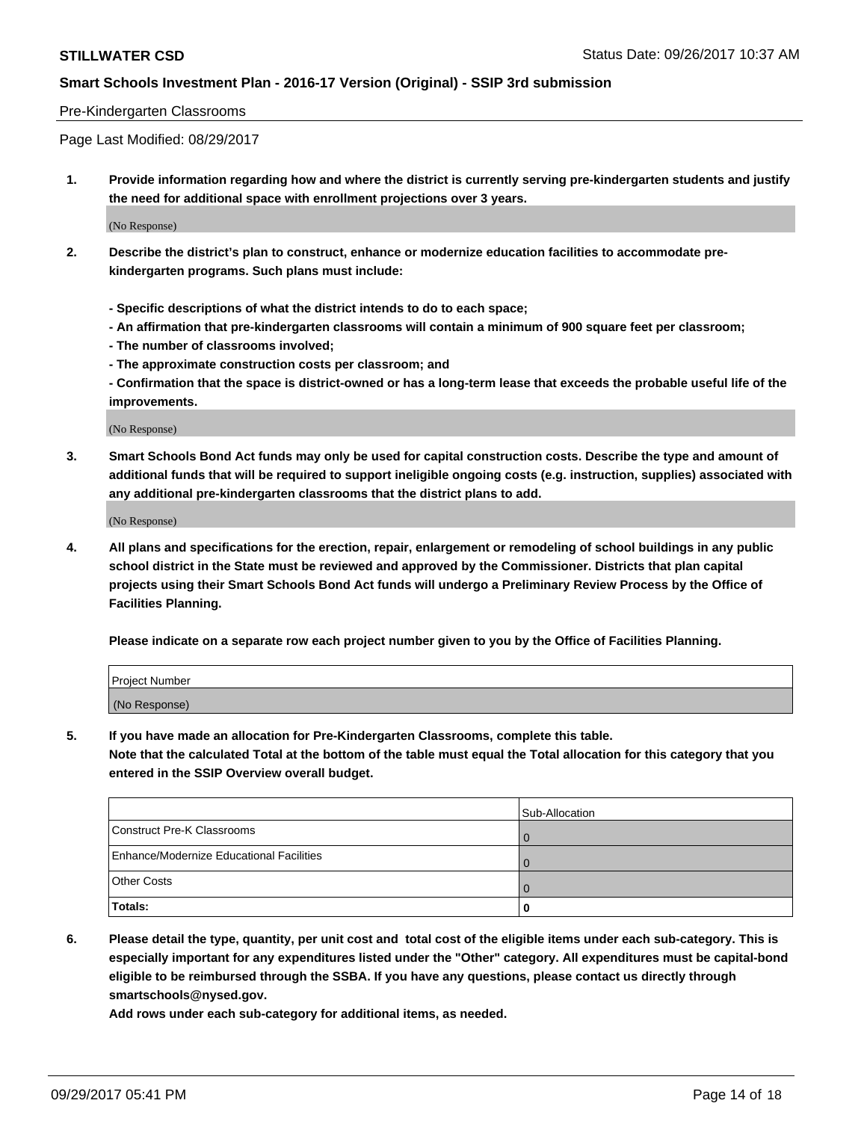#### Pre-Kindergarten Classrooms

Page Last Modified: 08/29/2017

**1. Provide information regarding how and where the district is currently serving pre-kindergarten students and justify the need for additional space with enrollment projections over 3 years.**

(No Response)

- **2. Describe the district's plan to construct, enhance or modernize education facilities to accommodate prekindergarten programs. Such plans must include:**
	- **Specific descriptions of what the district intends to do to each space;**
	- **An affirmation that pre-kindergarten classrooms will contain a minimum of 900 square feet per classroom;**
	- **The number of classrooms involved;**
	- **The approximate construction costs per classroom; and**

**- Confirmation that the space is district-owned or has a long-term lease that exceeds the probable useful life of the improvements.**

(No Response)

**3. Smart Schools Bond Act funds may only be used for capital construction costs. Describe the type and amount of additional funds that will be required to support ineligible ongoing costs (e.g. instruction, supplies) associated with any additional pre-kindergarten classrooms that the district plans to add.**

(No Response)

**4. All plans and specifications for the erection, repair, enlargement or remodeling of school buildings in any public school district in the State must be reviewed and approved by the Commissioner. Districts that plan capital projects using their Smart Schools Bond Act funds will undergo a Preliminary Review Process by the Office of Facilities Planning.**

**Please indicate on a separate row each project number given to you by the Office of Facilities Planning.**

| Project Number |  |
|----------------|--|
| (No Response)  |  |

**5. If you have made an allocation for Pre-Kindergarten Classrooms, complete this table.**

**Note that the calculated Total at the bottom of the table must equal the Total allocation for this category that you entered in the SSIP Overview overall budget.**

|                                          | Sub-Allocation |
|------------------------------------------|----------------|
| Construct Pre-K Classrooms               |                |
| Enhance/Modernize Educational Facilities | I O            |
| <b>Other Costs</b>                       |                |
| Totals:                                  |                |

**6. Please detail the type, quantity, per unit cost and total cost of the eligible items under each sub-category. This is especially important for any expenditures listed under the "Other" category. All expenditures must be capital-bond eligible to be reimbursed through the SSBA. If you have any questions, please contact us directly through smartschools@nysed.gov.**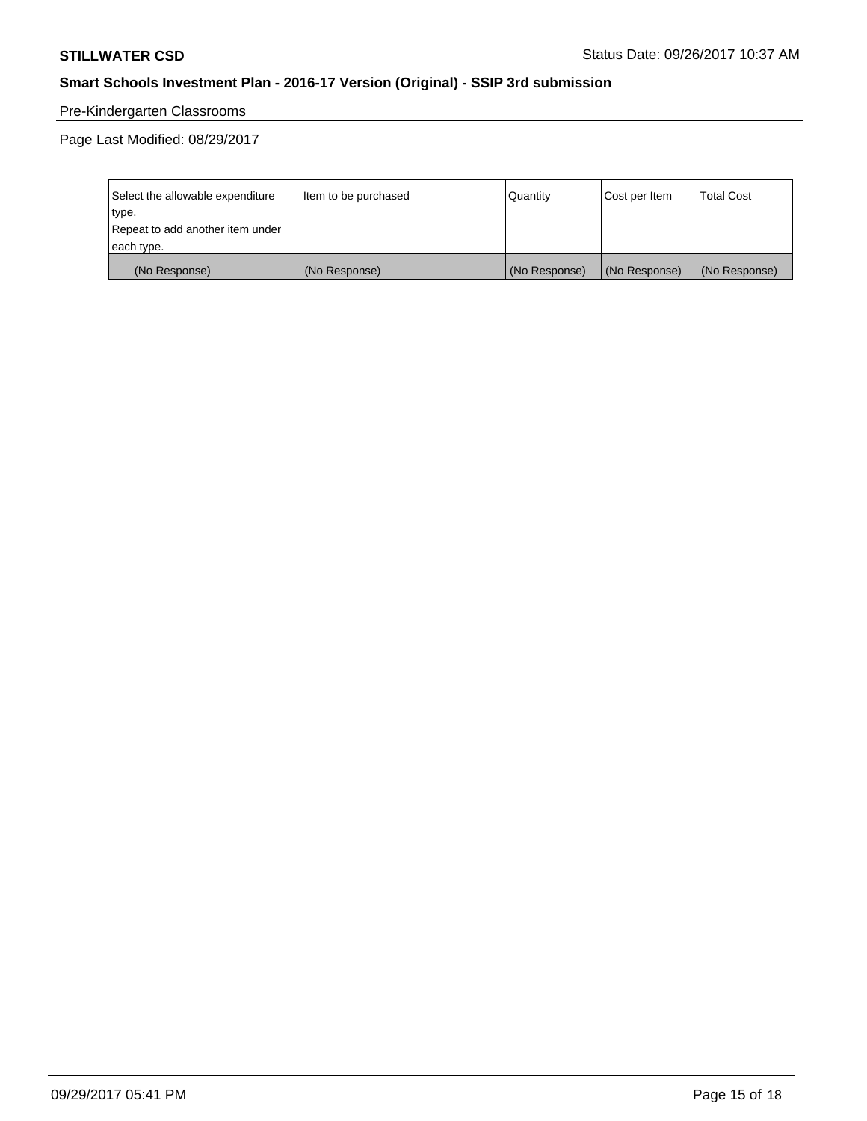# Pre-Kindergarten Classrooms

Page Last Modified: 08/29/2017

| Select the allowable expenditure | Item to be purchased | Quantity      | Cost per Item | <b>Total Cost</b> |
|----------------------------------|----------------------|---------------|---------------|-------------------|
| type.                            |                      |               |               |                   |
| Repeat to add another item under |                      |               |               |                   |
| each type.                       |                      |               |               |                   |
| (No Response)                    | (No Response)        | (No Response) | (No Response) | (No Response)     |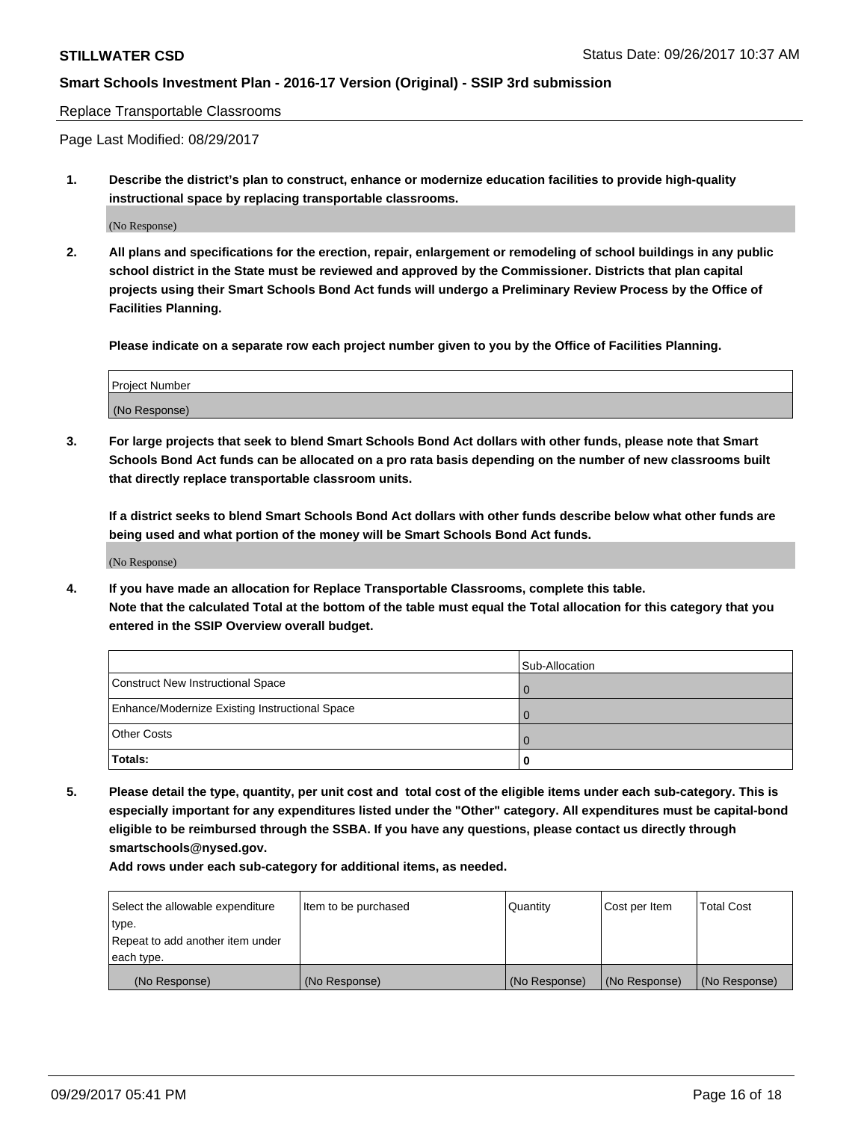#### Replace Transportable Classrooms

Page Last Modified: 08/29/2017

**1. Describe the district's plan to construct, enhance or modernize education facilities to provide high-quality instructional space by replacing transportable classrooms.**

(No Response)

**2. All plans and specifications for the erection, repair, enlargement or remodeling of school buildings in any public school district in the State must be reviewed and approved by the Commissioner. Districts that plan capital projects using their Smart Schools Bond Act funds will undergo a Preliminary Review Process by the Office of Facilities Planning.**

**Please indicate on a separate row each project number given to you by the Office of Facilities Planning.**

| <b>Project Number</b> |  |
|-----------------------|--|
| (No Response)         |  |

**3. For large projects that seek to blend Smart Schools Bond Act dollars with other funds, please note that Smart Schools Bond Act funds can be allocated on a pro rata basis depending on the number of new classrooms built that directly replace transportable classroom units.**

**If a district seeks to blend Smart Schools Bond Act dollars with other funds describe below what other funds are being used and what portion of the money will be Smart Schools Bond Act funds.**

(No Response)

**4. If you have made an allocation for Replace Transportable Classrooms, complete this table. Note that the calculated Total at the bottom of the table must equal the Total allocation for this category that you entered in the SSIP Overview overall budget.**

|                                                | Sub-Allocation |
|------------------------------------------------|----------------|
| Construct New Instructional Space              |                |
| Enhance/Modernize Existing Instructional Space |                |
| <b>Other Costs</b>                             |                |
| <b>Totals:</b>                                 |                |

**5. Please detail the type, quantity, per unit cost and total cost of the eligible items under each sub-category. This is especially important for any expenditures listed under the "Other" category. All expenditures must be capital-bond eligible to be reimbursed through the SSBA. If you have any questions, please contact us directly through smartschools@nysed.gov.**

| Select the allowable expenditure<br>type.      | Item to be purchased | Quantity      | Cost per Item | <b>Total Cost</b> |
|------------------------------------------------|----------------------|---------------|---------------|-------------------|
| Repeat to add another item under<br>each type. |                      |               |               |                   |
| (No Response)                                  | (No Response)        | (No Response) | (No Response) | (No Response)     |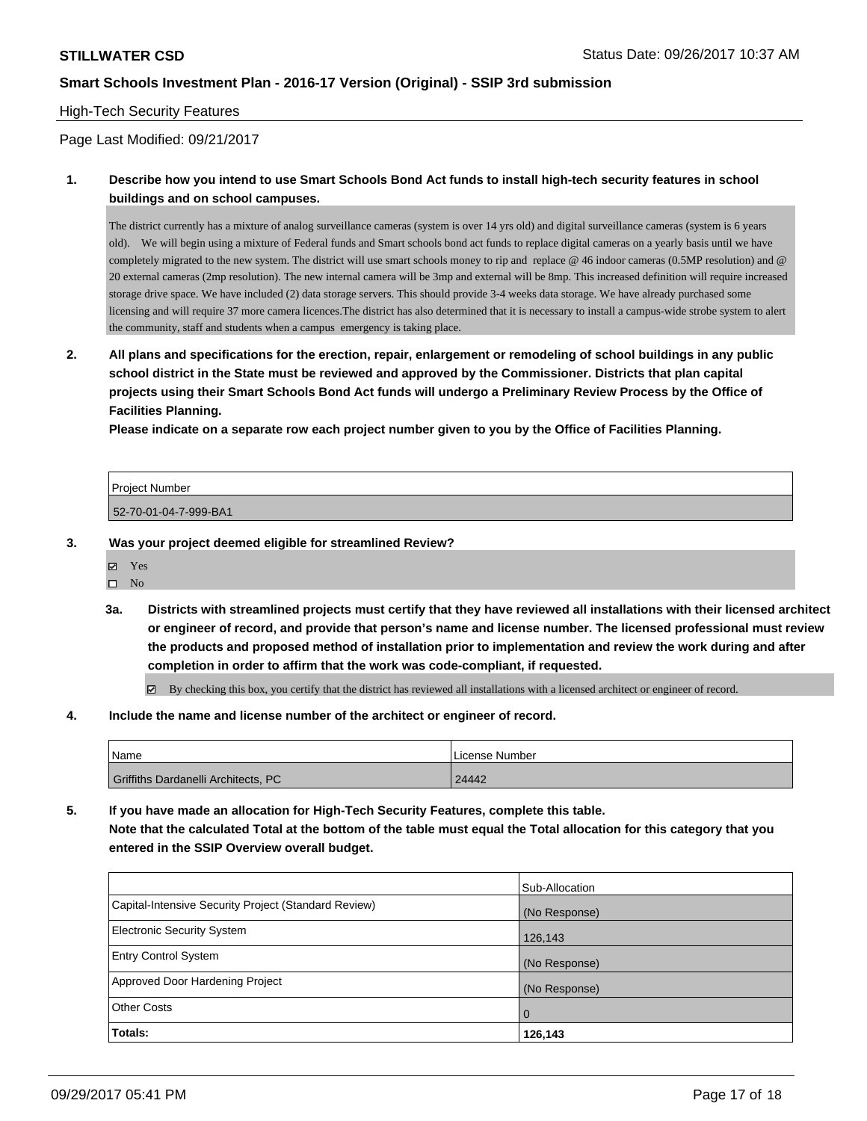#### High-Tech Security Features

Page Last Modified: 09/21/2017

### **1. Describe how you intend to use Smart Schools Bond Act funds to install high-tech security features in school buildings and on school campuses.**

The district currently has a mixture of analog surveillance cameras (system is over 14 yrs old) and digital surveillance cameras (system is 6 years old). We will begin using a mixture of Federal funds and Smart schools bond act funds to replace digital cameras on a yearly basis until we have completely migrated to the new system. The district will use smart schools money to rip and replace @ 46 indoor cameras (0.5MP resolution) and @ 20 external cameras (2mp resolution). The new internal camera will be 3mp and external will be 8mp. This increased definition will require increased storage drive space. We have included (2) data storage servers. This should provide 3-4 weeks data storage. We have already purchased some licensing and will require 37 more camera licences.The district has also determined that it is necessary to install a campus-wide strobe system to alert the community, staff and students when a campus emergency is taking place.

**2. All plans and specifications for the erection, repair, enlargement or remodeling of school buildings in any public school district in the State must be reviewed and approved by the Commissioner. Districts that plan capital projects using their Smart Schools Bond Act funds will undergo a Preliminary Review Process by the Office of Facilities Planning.** 

**Please indicate on a separate row each project number given to you by the Office of Facilities Planning.**

| Project Number        |  |
|-----------------------|--|
| 52-70-01-04-7-999-BA1 |  |

- **3. Was your project deemed eligible for streamlined Review?**
	- Yes
	- $\square$  No
	- **3a. Districts with streamlined projects must certify that they have reviewed all installations with their licensed architect or engineer of record, and provide that person's name and license number. The licensed professional must review the products and proposed method of installation prior to implementation and review the work during and after completion in order to affirm that the work was code-compliant, if requested.**

By checking this box, you certify that the district has reviewed all installations with a licensed architect or engineer of record.

**4. Include the name and license number of the architect or engineer of record.**

| <b>Name</b>                         | License Number |
|-------------------------------------|----------------|
| Griffiths Dardanelli Architects, PC | 24442          |

**5. If you have made an allocation for High-Tech Security Features, complete this table. Note that the calculated Total at the bottom of the table must equal the Total allocation for this category that you entered in the SSIP Overview overall budget.**

|                                                      | Sub-Allocation |
|------------------------------------------------------|----------------|
| Capital-Intensive Security Project (Standard Review) | (No Response)  |
| <b>Electronic Security System</b>                    | 126,143        |
| <b>Entry Control System</b>                          | (No Response)  |
| Approved Door Hardening Project                      | (No Response)  |
| <b>Other Costs</b>                                   | $\overline{0}$ |
| Totals:                                              | 126,143        |